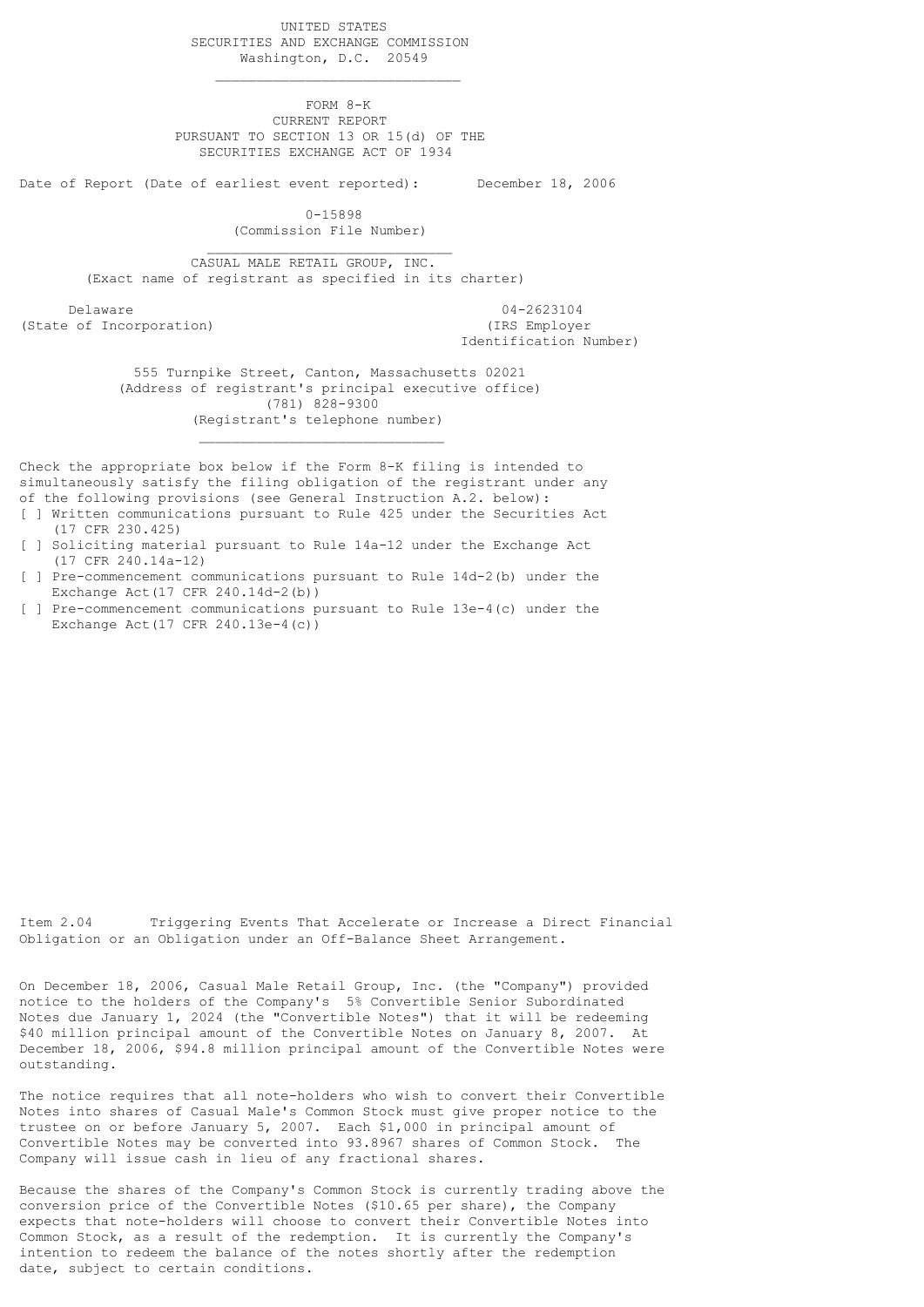UNITED STATES SECURITIES AND EXCHANGE COMMISSION Washington, D.C. 20549

 FORM 8-K CURRENT REPORT PURSUANT TO SECTION 13 OR 15(d) OF THE SECURITIES EXCHANGE ACT OF 1934

Date of Report (Date of earliest event reported): December 18, 2006

 $\mathcal{L}_\mathcal{L}$  , which is a set of the set of the set of the set of the set of the set of the set of the set of the set of the set of the set of the set of the set of the set of the set of the set of the set of the set of

 $\mathcal{L}_\mathcal{L}$  , which is a set of the set of the set of the set of the set of the set of the set of the set of the set of the set of the set of the set of the set of the set of the set of the set of the set of the set of

 $\mathcal{L}_\text{max}$  and  $\mathcal{L}_\text{max}$  and  $\mathcal{L}_\text{max}$  are the contract of the contract of the contract of the contract of the contract of the contract of the contract of the contract of the contract of the contract of the con

 0-15898 (Commission File Number)

 CASUAL MALE RETAIL GROUP, INC. (Exact name of registrant as specified in its charter)

 Delaware 04-2623104 (State of Incorporation) (IRS Employer

Identification Number)

 555 Turnpike Street, Canton, Massachusetts 02021 (Address of registrant's principal executive office) (781) 828-9300 (Registrant's telephone number)

Check the appropriate box below if the Form 8-K filing is intended to simultaneously satisfy the filing obligation of the registrant under any of the following provisions (see General Instruction A.2. below): [ ] Written communications pursuant to Rule 425 under the Securities Act

- (17 CFR 230.425)
- [ ] Soliciting material pursuant to Rule 14a-12 under the Exchange Act (17 CFR 240.14a-12)
- [ ] Pre-commencement communications pursuant to Rule 14d-2(b) under the Exchange Act  $(17$  CFR  $240.14d - 2(b)$ )
- [ ] Pre-commencement communications pursuant to Rule 13e-4(c) under the Exchange Act (17 CFR 240.13e-4(c))

Item 2.04 Triggering Events That Accelerate or Increase a Direct Financial Obligation or an Obligation under an Off-Balance Sheet Arrangement.

On December 18, 2006, Casual Male Retail Group, Inc. (the "Company") provided notice to the holders of the Company's 5% Convertible Senior Subordinated Notes due January 1, 2024 (the "Convertible Notes") that it will be redeeming \$40 million principal amount of the Convertible Notes on January 8, 2007. At December 18, 2006, \$94.8 million principal amount of the Convertible Notes were outstanding.

The notice requires that all note-holders who wish to convert their Convertible Notes into shares of Casual Male's Common Stock must give proper notice to the trustee on or before January 5, 2007. Each \$1,000 in principal amount of Convertible Notes may be converted into 93.8967 shares of Common Stock. The Company will issue cash in lieu of any fractional shares.

Because the shares of the Company's Common Stock is currently trading above the conversion price of the Convertible Notes (\$10.65 per share), the Company expects that note-holders will choose to convert their Convertible Notes into Common Stock, as a result of the redemption. It is currently the Company's intention to redeem the balance of the notes shortly after the redemption date, subject to certain conditions.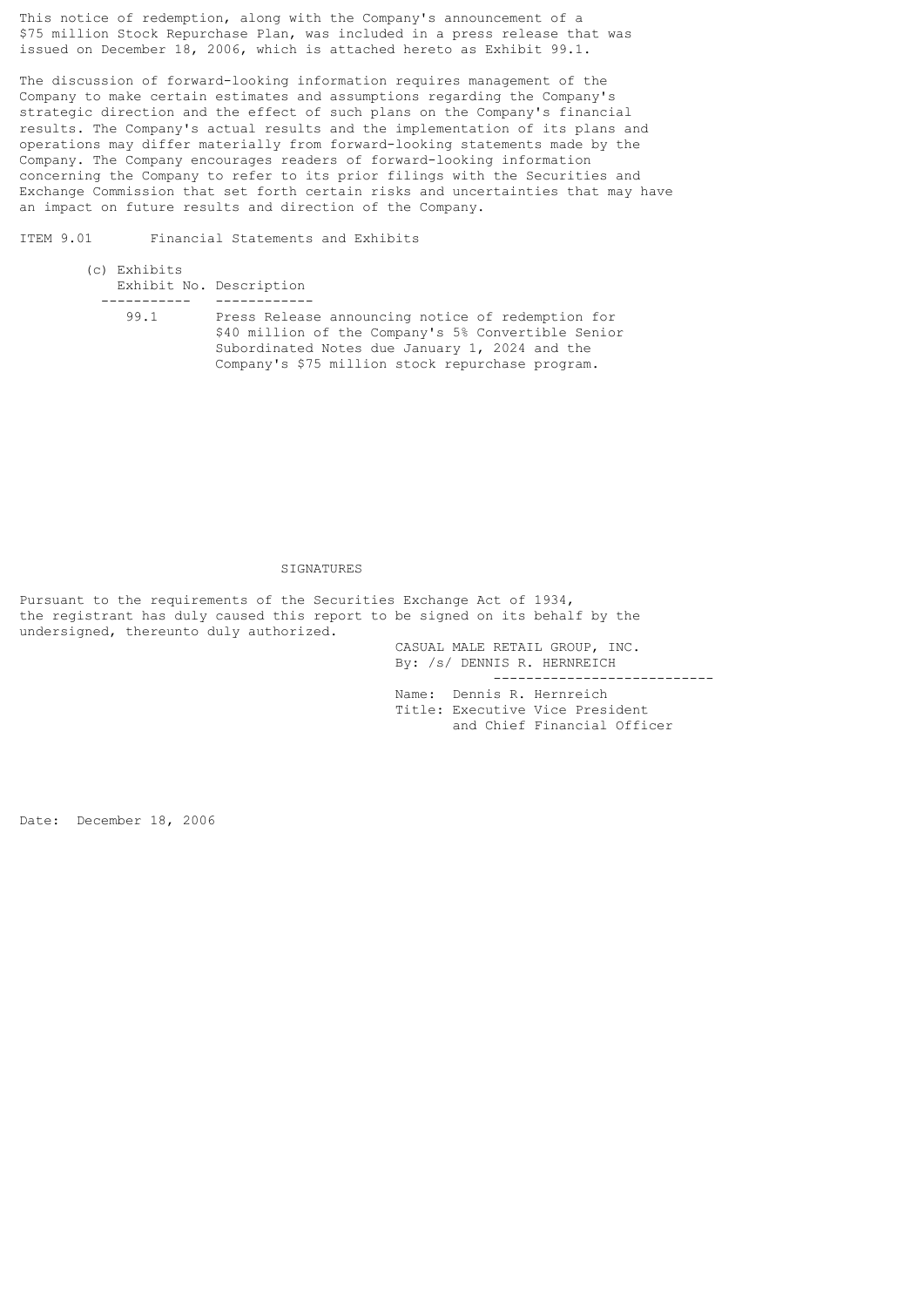This notice of redemption, along with the Company's announcement of a \$75 million Stock Repurchase Plan, was included in a press release that was issued on December 18, 2006, which is attached hereto as Exhibit 99.1.

The discussion of forward-looking information requires management of the Company to make certain estimates and assumptions regarding the Company's strategic direction and the effect of such plans on the Company's financial results. The Company's actual results and the implementation of its plans and operations may differ materially from forward-looking statements made by the Company. The Company encourages readers of forward-looking information concerning the Company to refer to its prior filings with the Securities and Exchange Commission that set forth certain risks and uncertainties that may have an impact on future results and direction of the Company.

ITEM 9.01 Financial Statements and Exhibits

- (c) Exhibits Exhibit No. Description ----------- ------------
	- 99.1 Press Release announcing notice of redemption for \$40 million of the Company's 5% Convertible Senior Subordinated Notes due January 1, 2024 and the Company's \$75 million stock repurchase program.

## **SIGNATURES**

Pursuant to the requirements of the Securities Exchange Act of 1934, the registrant has duly caused this report to be signed on its behalf by the undersigned, thereunto duly authorized.

> CASUAL MALE RETAIL GROUP, INC. By: /s/ DENNIS R. HERNREICH

> > ---------------------------

 Name: Dennis R. Hernreich Title: Executive Vice President and Chief Financial Officer

Date: December 18, 2006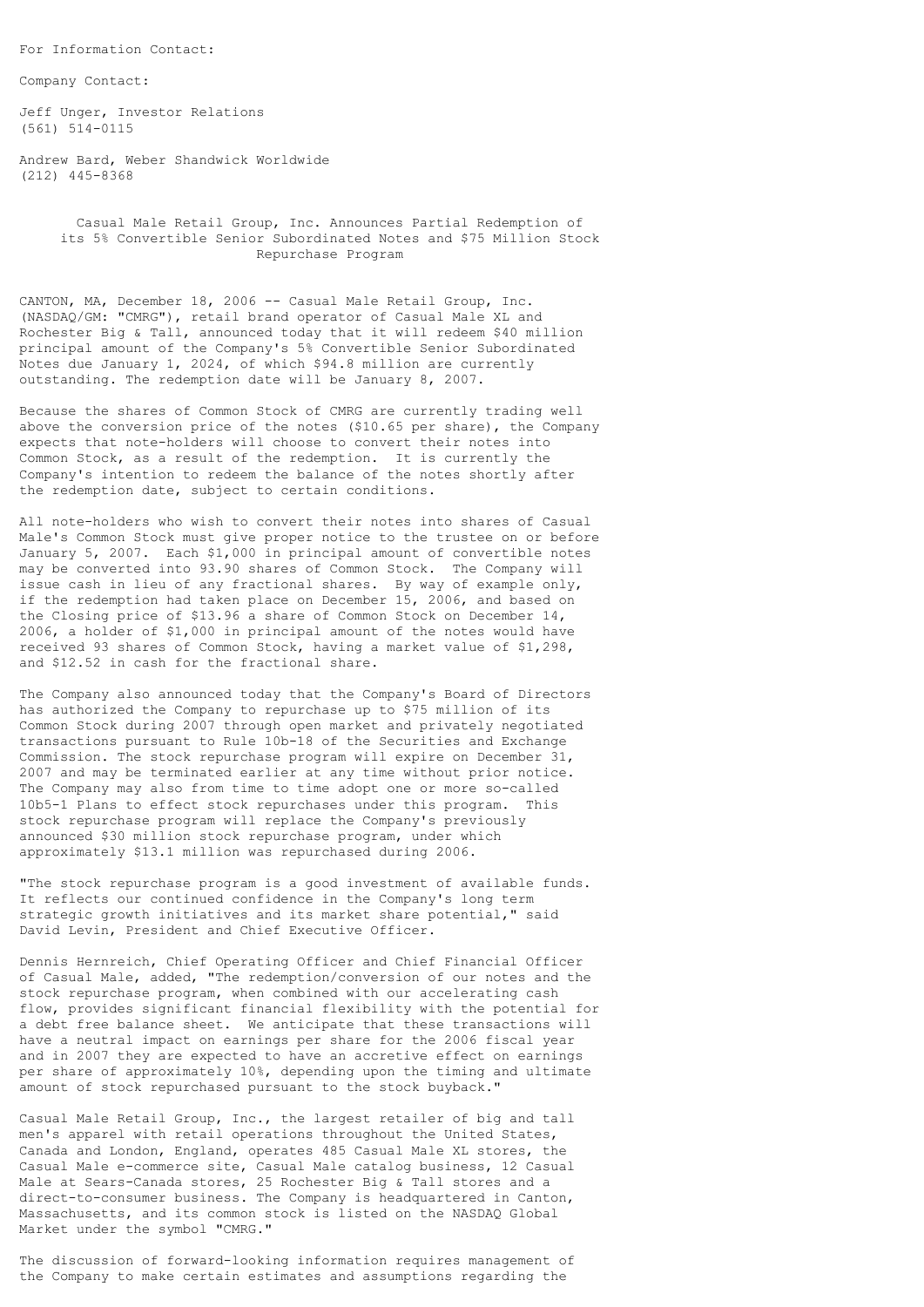For Information Contact:

Company Contact:

Jeff Unger, Investor Relations (561) 514-0115

Andrew Bard, Weber Shandwick Worldwide (212) 445-8368

> Casual Male Retail Group, Inc. Announces Partial Redemption of its 5% Convertible Senior Subordinated Notes and \$75 Million Stock Repurchase Program

CANTON, MA, December 18, 2006 -- Casual Male Retail Group, Inc. (NASDAQ/GM: "CMRG"), retail brand operator of Casual Male XL and Rochester Big & Tall, announced today that it will redeem \$40 million principal amount of the Company's 5% Convertible Senior Subordinated Notes due January 1, 2024, of which \$94.8 million are currently outstanding. The redemption date will be January 8, 2007.

Because the shares of Common Stock of CMRG are currently trading well above the conversion price of the notes (\$10.65 per share), the Company expects that note-holders will choose to convert their notes into Common Stock, as a result of the redemption. It is currently the Company's intention to redeem the balance of the notes shortly after the redemption date, subject to certain conditions.

All note-holders who wish to convert their notes into shares of Casual Male's Common Stock must give proper notice to the trustee on or before January 5, 2007. Each \$1,000 in principal amount of convertible notes may be converted into 93.90 shares of Common Stock. The Company will issue cash in lieu of any fractional shares. By way of example only, if the redemption had taken place on December 15, 2006, and based on the Closing price of \$13.96 a share of Common Stock on December 14, 2006, a holder of \$1,000 in principal amount of the notes would have received 93 shares of Common Stock, having a market value of \$1,298, and \$12.52 in cash for the fractional share.

The Company also announced today that the Company's Board of Directors has authorized the Company to repurchase up to \$75 million of its Common Stock during 2007 through open market and privately negotiated transactions pursuant to Rule 10b-18 of the Securities and Exchange Commission. The stock repurchase program will expire on December 31, 2007 and may be terminated earlier at any time without prior notice. The Company may also from time to time adopt one or more so-called 10b5-1 Plans to effect stock repurchases under this program. This stock repurchase program will replace the Company's previously announced \$30 million stock repurchase program, under which approximately \$13.1 million was repurchased during 2006.

"The stock repurchase program is a good investment of available funds. It reflects our continued confidence in the Company's long term strategic growth initiatives and its market share potential," said David Levin, President and Chief Executive Officer.

Dennis Hernreich, Chief Operating Officer and Chief Financial Officer of Casual Male, added, "The redemption/conversion of our notes and the stock repurchase program, when combined with our accelerating cash flow, provides significant financial flexibility with the potential for a debt free balance sheet. We anticipate that these transactions will have a neutral impact on earnings per share for the 2006 fiscal year and in 2007 they are expected to have an accretive effect on earnings per share of approximately 10%, depending upon the timing and ultimate amount of stock repurchased pursuant to the stock buyback."

Casual Male Retail Group, Inc., the largest retailer of big and tall men's apparel with retail operations throughout the United States, Canada and London, England, operates 485 Casual Male XL stores, the Casual Male e-commerce site, Casual Male catalog business, 12 Casual Male at Sears-Canada stores, 25 Rochester Big & Tall stores and a direct-to-consumer business. The Company is headquartered in Canton, Massachusetts, and its common stock is listed on the NASDAQ Global Market under the symbol "CMRG."

The discussion of forward-looking information requires management of the Company to make certain estimates and assumptions regarding the